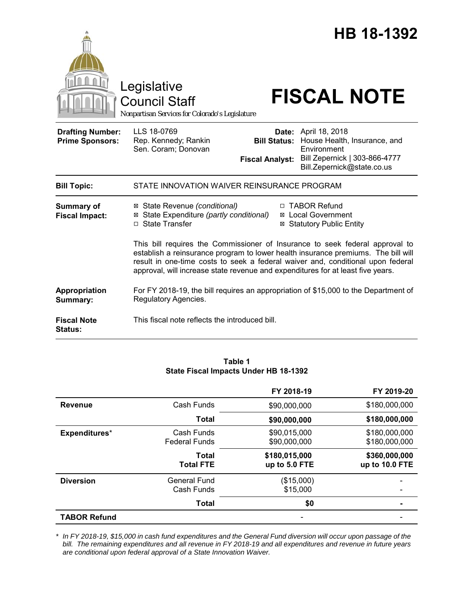

Council Staff

# Legislative<br>Council Staff **FISCAL NOTE**

*Nonpartisan Services for Colorado's Legislature*

| <b>Drafting Number:</b><br><b>Prime Sponsors:</b> | LLS 18-0769<br>Rep. Kennedy; Rankin<br>Sen. Coram; Donovan                                                      | Date:<br><b>Bill Status:</b><br><b>Fiscal Analyst:</b> | April 18, 2018<br>House Health, Insurance, and<br>Environment<br>Bill Zepernick   303-866-4777<br>Bill.Zepernick@state.co.us                                                                                                                                                                                                            |  |  |
|---------------------------------------------------|-----------------------------------------------------------------------------------------------------------------|--------------------------------------------------------|-----------------------------------------------------------------------------------------------------------------------------------------------------------------------------------------------------------------------------------------------------------------------------------------------------------------------------------------|--|--|
| <b>Bill Topic:</b>                                | STATE INNOVATION WAIVER REINSURANCE PROGRAM                                                                     |                                                        |                                                                                                                                                                                                                                                                                                                                         |  |  |
| <b>Summary of</b><br><b>Fiscal Impact:</b>        | ⊠ State Revenue (conditional)<br>State Expenditure (partly conditional)<br>⊠<br><b>State Transfer</b><br>$\Box$ |                                                        | □ TABOR Refund<br><b>⊠</b> Local Government<br><b>⊠ Statutory Public Entity</b><br>This bill requires the Commissioner of Insurance to seek federal approval to<br>establish a reinsurance program to lower health insurance premiums. The bill will<br>result in one-time costs to seek a federal waiver and, conditional upon federal |  |  |
|                                                   | approval, will increase state revenue and expenditures for at least five years.                                 |                                                        |                                                                                                                                                                                                                                                                                                                                         |  |  |
| Appropriation<br>Summary:                         | For FY 2018-19, the bill requires an appropriation of \$15,000 to the Department of<br>Regulatory Agencies.     |                                                        |                                                                                                                                                                                                                                                                                                                                         |  |  |
| <b>Fiscal Note</b><br><b>Status:</b>              | This fiscal note reflects the introduced bill.                                                                  |                                                        |                                                                                                                                                                                                                                                                                                                                         |  |  |

#### **Table 1 State Fiscal Impacts Under HB 18-1392**

|                     |                                    | FY 2018-19                     | FY 2019-20                      |
|---------------------|------------------------------------|--------------------------------|---------------------------------|
| <b>Revenue</b>      | Cash Funds                         | \$90,000,000                   | \$180,000,000                   |
|                     | Total                              | \$90,000,000                   | \$180,000,000                   |
| Expenditures*       | Cash Funds<br><b>Federal Funds</b> | \$90,015,000<br>\$90,000,000   | \$180,000,000<br>\$180,000,000  |
|                     | Total<br><b>Total FTE</b>          | \$180,015,000<br>up to 5.0 FTE | \$360,000,000<br>up to 10.0 FTE |
| <b>Diversion</b>    | <b>General Fund</b><br>Cash Funds  | (\$15,000)<br>\$15,000         |                                 |
|                     | <b>Total</b>                       | \$0                            |                                 |
| <b>TABOR Refund</b> |                                    |                                |                                 |

*\* In FY 2018-19, \$15,000 in cash fund expenditures and the General Fund diversion will occur upon passage of the bill. The remaining expenditures and all revenue in FY 2018-19 and all expenditures and revenue in future years are conditional upon federal approval of a State Innovation Waiver.*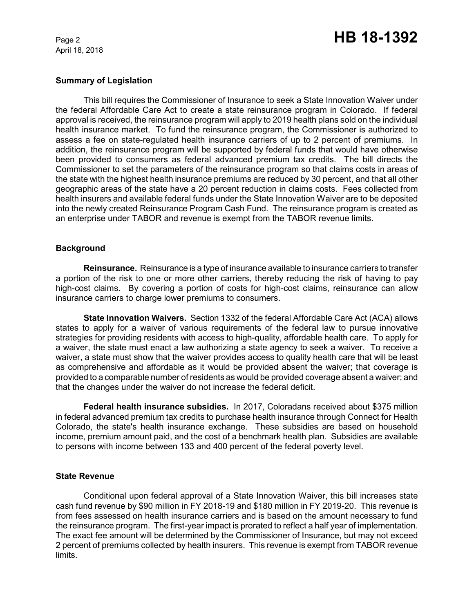April 18, 2018

## Page 2 **HB 18-1392**

### **Summary of Legislation**

This bill requires the Commissioner of Insurance to seek a State Innovation Waiver under the federal Affordable Care Act to create a state reinsurance program in Colorado. If federal approval is received, the reinsurance program will apply to 2019 health plans sold on the individual health insurance market. To fund the reinsurance program, the Commissioner is authorized to assess a fee on state-regulated health insurance carriers of up to 2 percent of premiums. In addition, the reinsurance program will be supported by federal funds that would have otherwise been provided to consumers as federal advanced premium tax credits. The bill directs the Commissioner to set the parameters of the reinsurance program so that claims costs in areas of the state with the highest health insurance premiums are reduced by 30 percent, and that all other geographic areas of the state have a 20 percent reduction in claims costs. Fees collected from health insurers and available federal funds under the State Innovation Waiver are to be deposited into the newly created Reinsurance Program Cash Fund. The reinsurance program is created as an enterprise under TABOR and revenue is exempt from the TABOR revenue limits.

#### **Background**

**Reinsurance.** Reinsurance is a type of insurance available to insurance carriers to transfer a portion of the risk to one or more other carriers, thereby reducing the risk of having to pay high-cost claims. By covering a portion of costs for high-cost claims, reinsurance can allow insurance carriers to charge lower premiums to consumers.

**State Innovation Waivers.** Section 1332 of the federal Affordable Care Act (ACA) allows states to apply for a waiver of various requirements of the federal law to pursue innovative strategies for providing residents with access to high-quality, affordable health care. To apply for a waiver, the state must enact a law authorizing a state agency to seek a waiver. To receive a waiver, a state must show that the waiver provides access to quality health care that will be least as comprehensive and affordable as it would be provided absent the waiver; that coverage is provided to a comparable number of residents as would be provided coverage absent a waiver; and that the changes under the waiver do not increase the federal deficit.

**Federal health insurance subsidies.** In 2017, Coloradans received about \$375 million in federal advanced premium tax credits to purchase health insurance through Connect for Health Colorado, the state's health insurance exchange. These subsidies are based on household income, premium amount paid, and the cost of a benchmark health plan. Subsidies are available to persons with income between 133 and 400 percent of the federal poverty level.

#### **State Revenue**

Conditional upon federal approval of a State Innovation Waiver, this bill increases state cash fund revenue by \$90 million in FY 2018-19 and \$180 million in FY 2019-20. This revenue is from fees assessed on health insurance carriers and is based on the amount necessary to fund the reinsurance program. The first-year impact is prorated to reflect a half year of implementation. The exact fee amount will be determined by the Commissioner of Insurance, but may not exceed 2 percent of premiums collected by health insurers. This revenue is exempt from TABOR revenue limits.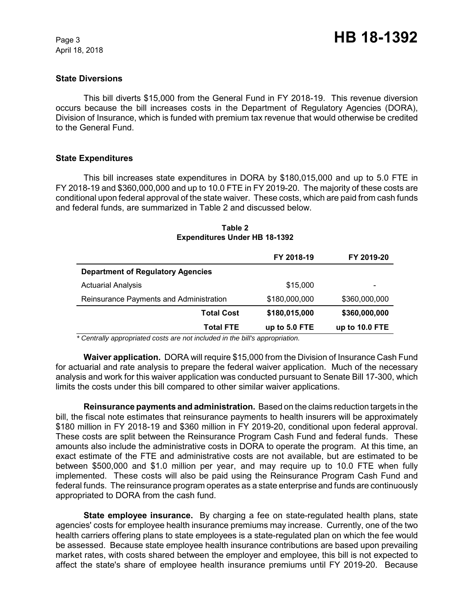April 18, 2018

#### **State Diversions**

This bill diverts \$15,000 from the General Fund in FY 2018-19. This revenue diversion occurs because the bill increases costs in the Department of Regulatory Agencies (DORA), Division of Insurance, which is funded with premium tax revenue that would otherwise be credited to the General Fund.

#### **State Expenditures**

This bill increases state expenditures in DORA by \$180,015,000 and up to 5.0 FTE in FY 2018-19 and \$360,000,000 and up to 10.0 FTE in FY 2019-20. The majority of these costs are conditional upon federal approval of the state waiver. These costs, which are paid from cash funds and federal funds, are summarized in Table 2 and discussed below.

|                                          | FY 2018-19    | FY 2019-20     |
|------------------------------------------|---------------|----------------|
| <b>Department of Regulatory Agencies</b> |               |                |
| <b>Actuarial Analysis</b>                | \$15,000      |                |
| Reinsurance Payments and Administration  | \$180,000,000 | \$360,000,000  |
| <b>Total Cost</b>                        | \$180,015,000 | \$360,000,000  |
| <b>Total FTE</b>                         | up to 5.0 FTE | up to 10.0 FTE |

#### **Table 2 Expenditures Under HB 18-1392**

 *\* Centrally appropriated costs are not included in the bill's appropriation.*

**Waiver application.** DORA will require \$15,000 from the Division of Insurance Cash Fund for actuarial and rate analysis to prepare the federal waiver application. Much of the necessary analysis and work for this waiver application was conducted pursuant to Senate Bill 17-300, which limits the costs under this bill compared to other similar waiver applications.

**Reinsurance payments and administration.** Based on the claims reduction targets in the bill, the fiscal note estimates that reinsurance payments to health insurers will be approximately \$180 million in FY 2018-19 and \$360 million in FY 2019-20, conditional upon federal approval. These costs are split between the Reinsurance Program Cash Fund and federal funds. These amounts also include the administrative costs in DORA to operate the program. At this time, an exact estimate of the FTE and administrative costs are not available, but are estimated to be between \$500,000 and \$1.0 million per year, and may require up to 10.0 FTE when fully implemented. These costs will also be paid using the Reinsurance Program Cash Fund and federal funds. The reinsurance program operates as a state enterprise and funds are continuously appropriated to DORA from the cash fund.

**State employee insurance.** By charging a fee on state-regulated health plans, state agencies' costs for employee health insurance premiums may increase. Currently, one of the two health carriers offering plans to state employees is a state-regulated plan on which the fee would be assessed. Because state employee health insurance contributions are based upon prevailing market rates, with costs shared between the employer and employee, this bill is not expected to affect the state's share of employee health insurance premiums until FY 2019-20. Because